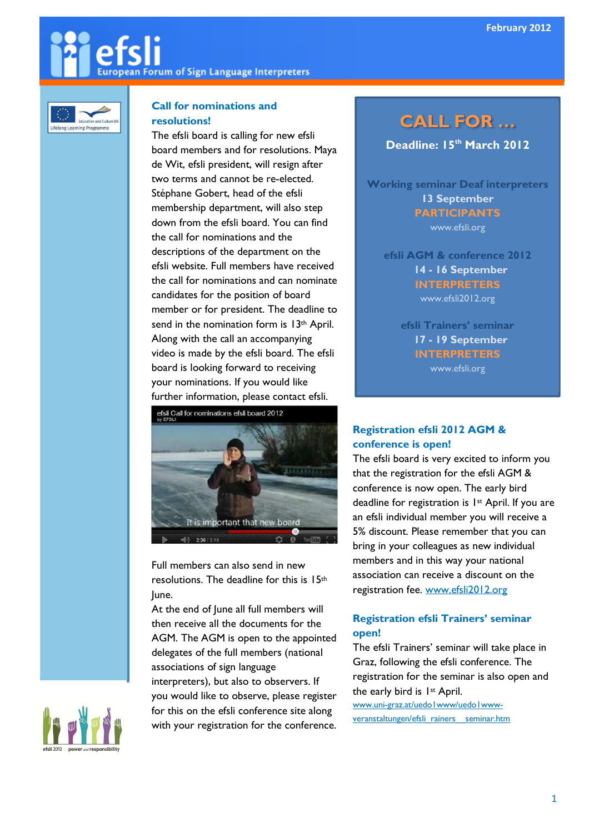# European Forum of Sign Language Interpreters



#### Call for nominations and resolutions!

The efsli board is calling for new efsli board members and for resolutions. Maya de Wit, efsli president, will resign after two terms and cannot be re-elected. Stéphane Gobert, head of the efsli membership department, will also step down from the efsli board. You can find the call for nominations and the descriptions of the department on the efsli website. Full members have received the call for nominations and can nominate candidates for the position of board member or for president. The deadline to send in the nomination form is 13<sup>th</sup> April. Along with the call an accompanying video is made by the efsli board. The efsli board is looking forward to receiving your nominations. If you would like further information, please contact efsli.



Full members can also send in new resolutions. The deadline for this is 15th lune.

At the end of June all full members will then receive all the documents for the AGM. The AGM is open to the appointed delegates of the full members (national associations of sign language interpreters), but also to observers. If you would like to observe, please register

for this on the efsli conference site along with your registration for the conference.

### CALL FOR …

Deadline: 15<sup>th</sup> March 2012

Working seminar Deaf interpreters 13 September PARTICIPANTS www.efsli.org

efsli AGM & conference 2012 14 - 16 September INTERPRETERS www.efsli2012.org

> efsli Trainers' seminar 17 - 19 September INTERPRETERS www.efsli.org

#### Registration efsli 2012 AGM & conference is open!

The efsli board is very excited to inform you that the registration for the efsli AGM & conference is now open. The early bird deadline for registration is 1st April. If you are an efsli individual member you will receive a 5% discount. Please remember that you can bring in your colleagues as new individual members and in this way your national association can receive a discount on the registration fee. www.efsli2012.org

#### Registration efsli Trainers' seminar open!

The efsli Trainers' seminar will take place in Graz, following the efsli conference. The registration for the seminar is also open and the early bird is 1st April.

www.uni-graz.at/uedo1www/uedo1wwwveranstaltungen/efsli\_rainers\_\_seminar.htm